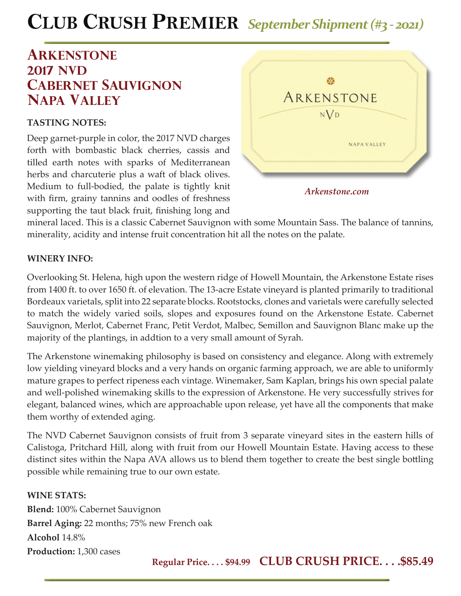# **CLUB CRUSH PREMIER** *September Shipment (#3 - 2021)*

## **Arkenstone 2017 NVD cabernet sauvignon napa valley**

#### **TASTING NOTES:**

Deep garnet-purple in color, the 2017 NVD charges forth with bombastic black cherries, cassis and tilled earth notes with sparks of Mediterranean herbs and charcuterie plus a waft of black olives. Medium to full-bodied, the palate is tightly knit with firm, grainy tannins and oodles of freshness supporting the taut black fruit, finishing long and



mineral laced. This is a classic Cabernet Sauvignon with some Mountain Sass. The balance of tannins, minerality, acidity and intense fruit concentration hit all the notes on the palate.

### **WINERY INFO:**

Overlooking St. Helena, high upon the western ridge of Howell Mountain, the Arkenstone Estate rises from 1400 ft. to over 1650 ft. of elevation. The 13-acre Estate vineyard is planted primarily to traditional Bordeaux varietals, split into 22 separate blocks. Rootstocks, clones and varietals were carefully selected to match the widely varied soils, slopes and exposures found on the Arkenstone Estate. Cabernet Sauvignon, Merlot, Cabernet Franc, Petit Verdot, Malbec, Semillon and Sauvignon Blanc make up the majority of the plantings, in addtion to a very small amount of Syrah.

The Arkenstone winemaking philosophy is based on consistency and elegance. Along with extremely low yielding vineyard blocks and a very hands on organic farming approach, we are able to uniformly mature grapes to perfect ripeness each vintage. Winemaker, Sam Kaplan, brings his own special palate and well-polished winemaking skills to the expression of Arkenstone. He very successfully strives for elegant, balanced wines, which are approachable upon release, yet have all the components that make them worthy of extended aging.

The NVD Cabernet Sauvignon consists of fruit from 3 separate vineyard sites in the eastern hills of Calistoga, Pritchard Hill, along with fruit from our Howell Mountain Estate. Having access to these distinct sites within the Napa AVA allows us to blend them together to create the best single bottling possible while remaining true to our own estate.

#### **WINE STATS:**

**Blend:** 100% Cabernet Sauvignon **Barrel Aging:** 22 months; 75% new French oak **Alcohol** 14.8% **Production:** 1,300 cases

**Regular Price. . . . \$94.99 CLUB CRUSH PRICE. . . .\$85.49**